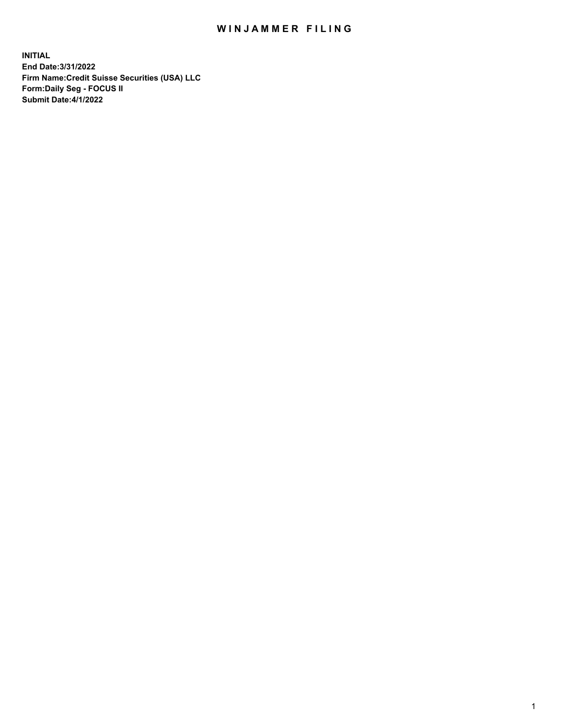## WIN JAMMER FILING

**INITIAL End Date:3/31/2022 Firm Name:Credit Suisse Securities (USA) LLC Form:Daily Seg - FOCUS II Submit Date:4/1/2022**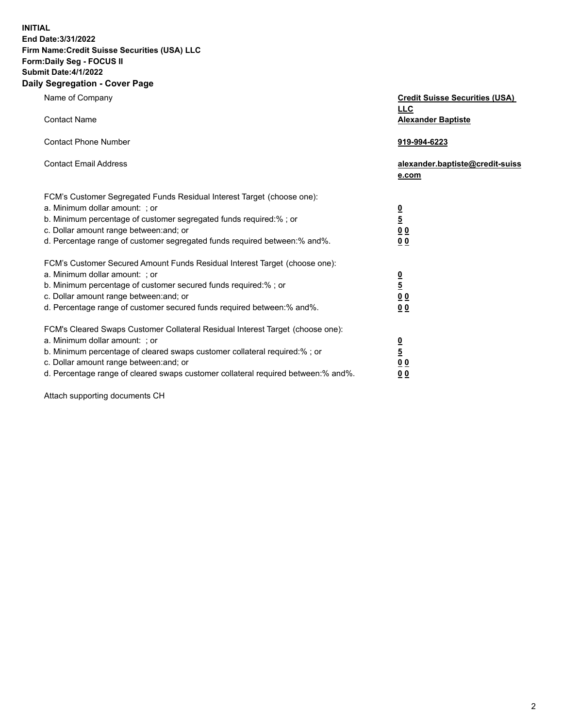**INITIAL**

## **End Date:3/31/2022 Firm Name:Credit Suisse Securities (USA) LLC Form:Daily Seg - FOCUS II Submit Date:4/1/2022**

## **Daily Segregation - Cover Page**

| Name of Company<br><b>Contact Name</b>                                                                                                                                                                                                                                                                                           | <b>Credit Suisse Securities (USA)</b><br><u>LLC</u> |
|----------------------------------------------------------------------------------------------------------------------------------------------------------------------------------------------------------------------------------------------------------------------------------------------------------------------------------|-----------------------------------------------------|
| <b>Contact Phone Number</b>                                                                                                                                                                                                                                                                                                      | <b>Alexander Baptiste</b>                           |
| <b>Contact Email Address</b>                                                                                                                                                                                                                                                                                                     | 919-994-6223                                        |
|                                                                                                                                                                                                                                                                                                                                  | alexander.baptiste@credit-suiss<br>e.com            |
| FCM's Customer Segregated Funds Residual Interest Target (choose one):<br>a. Minimum dollar amount: ; or<br>b. Minimum percentage of customer segregated funds required:% ; or<br>c. Dollar amount range between: and; or                                                                                                        | $\frac{0}{5}$                                       |
| d. Percentage range of customer segregated funds required between:% and%.                                                                                                                                                                                                                                                        | $\underline{0} \underline{0}$<br>0 <sub>0</sub>     |
| FCM's Customer Secured Amount Funds Residual Interest Target (choose one):<br>a. Minimum dollar amount: ; or<br>b. Minimum percentage of customer secured funds required:%; or<br>c. Dollar amount range between: and; or<br>d. Percentage range of customer secured funds required between:% and%.                              | $\frac{0}{5}$<br>0 <sub>0</sub><br>0 <sub>0</sub>   |
| FCM's Cleared Swaps Customer Collateral Residual Interest Target (choose one):<br>a. Minimum dollar amount: ; or<br>b. Minimum percentage of cleared swaps customer collateral required:% ; or<br>c. Dollar amount range between: and; or<br>d. Percentage range of cleared swaps customer collateral required between: % and %. | $\frac{0}{5}$<br>0 <sub>0</sub><br>0 <sub>0</sub>   |

Attach supporting documents CH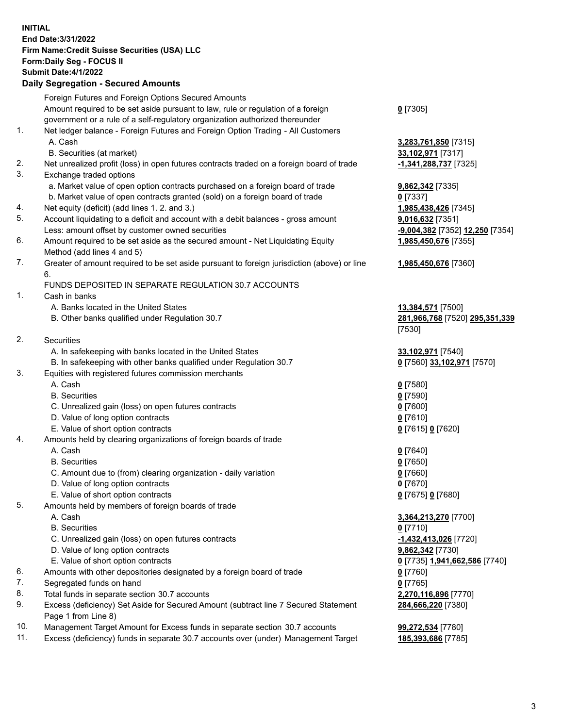**INITIAL End Date:3/31/2022 Firm Name:Credit Suisse Securities (USA) LLC Form:Daily Seg - FOCUS II Submit Date:4/1/2022**

## **Daily Segregation - Secured Amounts**

|     | Foreign Futures and Foreign Options Secured Amounts                                         |                                 |
|-----|---------------------------------------------------------------------------------------------|---------------------------------|
|     | Amount required to be set aside pursuant to law, rule or regulation of a foreign            | $0$ [7305]                      |
|     | government or a rule of a self-regulatory organization authorized thereunder                |                                 |
| 1.  | Net ledger balance - Foreign Futures and Foreign Option Trading - All Customers             |                                 |
|     | A. Cash                                                                                     | 3,283,761,850 [7315]            |
|     | B. Securities (at market)                                                                   | 33,102,971 [7317]               |
| 2.  | Net unrealized profit (loss) in open futures contracts traded on a foreign board of trade   | -1,341,288,737 [7325]           |
| 3.  | Exchange traded options                                                                     |                                 |
|     | a. Market value of open option contracts purchased on a foreign board of trade              | 9,862,342 [7335]                |
|     | b. Market value of open contracts granted (sold) on a foreign board of trade                | $0$ [7337]                      |
| 4.  | Net equity (deficit) (add lines 1. 2. and 3.)                                               | 1,985,438,426 [7345]            |
| 5.  | Account liquidating to a deficit and account with a debit balances - gross amount           | 9,016,632 [7351]                |
|     | Less: amount offset by customer owned securities                                            | -9,004,382 [7352] 12,250 [7354] |
| 6.  | Amount required to be set aside as the secured amount - Net Liquidating Equity              | 1,985,450,676 [7355]            |
|     | Method (add lines 4 and 5)                                                                  |                                 |
| 7.  | Greater of amount required to be set aside pursuant to foreign jurisdiction (above) or line | 1,985,450,676 [7360]            |
|     | 6.                                                                                          |                                 |
|     | FUNDS DEPOSITED IN SEPARATE REGULATION 30.7 ACCOUNTS                                        |                                 |
| 1.  | Cash in banks                                                                               |                                 |
|     | A. Banks located in the United States                                                       | 13,384,571 [7500]               |
|     | B. Other banks qualified under Regulation 30.7                                              | 281,966,768 [7520] 295,351,339  |
|     |                                                                                             | [7530]                          |
| 2.  | Securities                                                                                  |                                 |
|     | A. In safekeeping with banks located in the United States                                   | 33,102,971 [7540]               |
|     | B. In safekeeping with other banks qualified under Regulation 30.7                          | 0 [7560] 33,102,971 [7570]      |
| 3.  | Equities with registered futures commission merchants                                       |                                 |
|     | A. Cash                                                                                     | $0$ [7580]                      |
|     | <b>B.</b> Securities                                                                        | $0$ [7590]                      |
|     | C. Unrealized gain (loss) on open futures contracts                                         | $0$ [7600]                      |
|     | D. Value of long option contracts                                                           | $0$ [7610]                      |
|     | E. Value of short option contracts                                                          | 0 [7615] 0 [7620]               |
| 4.  | Amounts held by clearing organizations of foreign boards of trade                           |                                 |
|     | A. Cash                                                                                     | $0$ [7640]                      |
|     | <b>B.</b> Securities                                                                        | $0$ [7650]                      |
|     | C. Amount due to (from) clearing organization - daily variation                             | $0$ [7660]                      |
|     | D. Value of long option contracts                                                           | $0$ [7670]                      |
|     | E. Value of short option contracts                                                          | 0 [7675] 0 [7680]               |
| 5.  | Amounts held by members of foreign boards of trade                                          |                                 |
|     | A. Cash                                                                                     | 3,364,213,270 [7700]            |
|     | <b>B.</b> Securities                                                                        | $0$ [7710]                      |
|     | C. Unrealized gain (loss) on open futures contracts                                         | -1,432,413,026 [7720]           |
|     | D. Value of long option contracts                                                           | 9,862,342 [7730]                |
|     | E. Value of short option contracts                                                          | 0 [7735] 1,941,662,586 [7740]   |
| 6.  | Amounts with other depositories designated by a foreign board of trade                      | $0$ [7760]                      |
| 7.  | Segregated funds on hand                                                                    | $0$ [7765]                      |
| 8.  | Total funds in separate section 30.7 accounts                                               | 2,270,116,896 [7770]            |
| 9.  | Excess (deficiency) Set Aside for Secured Amount (subtract line 7 Secured Statement         | 284,666,220 [7380]              |
|     | Page 1 from Line 8)                                                                         |                                 |
| 10. | Management Target Amount for Excess funds in separate section 30.7 accounts                 | 99,272,534 [7780]               |

11. Excess (deficiency) funds in separate 30.7 accounts over (under) Management Target **185,393,686** [7785]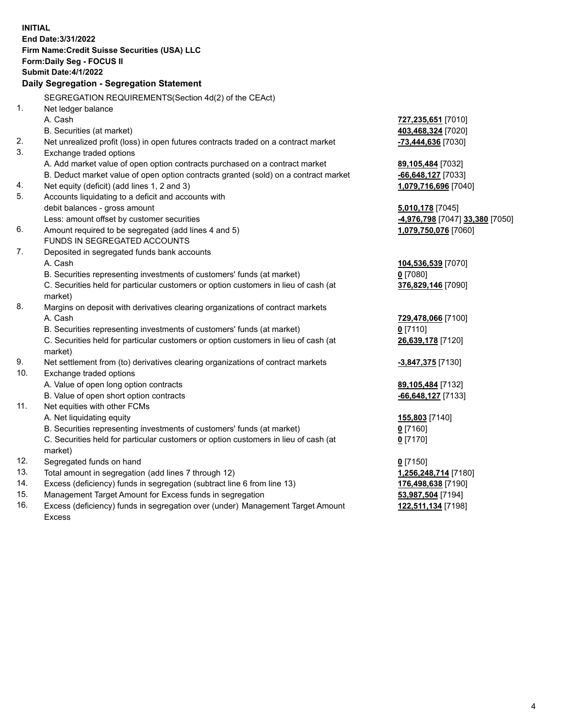|     | <b>INITIAL</b>                                                                      |                                 |
|-----|-------------------------------------------------------------------------------------|---------------------------------|
|     | End Date: 3/31/2022                                                                 |                                 |
|     | Firm Name: Credit Suisse Securities (USA) LLC                                       |                                 |
|     | Form: Daily Seg - FOCUS II                                                          |                                 |
|     | <b>Submit Date:4/1/2022</b>                                                         |                                 |
|     | Daily Segregation - Segregation Statement                                           |                                 |
|     | SEGREGATION REQUIREMENTS(Section 4d(2) of the CEAct)                                |                                 |
| 1.  | Net ledger balance                                                                  |                                 |
|     | A. Cash                                                                             | 727,235,651 [7010]              |
|     | B. Securities (at market)                                                           | 403,468,324 [7020]              |
| 2.  | Net unrealized profit (loss) in open futures contracts traded on a contract market  | -73,444,636 [7030]              |
| 3.  | Exchange traded options                                                             |                                 |
|     | A. Add market value of open option contracts purchased on a contract market         | 89,105,484 [7032]               |
|     | B. Deduct market value of open option contracts granted (sold) on a contract market | -66,648,127 [7033]              |
| 4.  | Net equity (deficit) (add lines 1, 2 and 3)                                         | 1,079,716,696 [7040]            |
| 5.  | Accounts liquidating to a deficit and accounts with                                 |                                 |
|     | debit balances - gross amount                                                       | 5,010,178 [7045]                |
|     | Less: amount offset by customer securities                                          | -4,976,798 [7047] 33,380 [7050] |
| 6.  | Amount required to be segregated (add lines 4 and 5)                                | 1,079,750,076 [7060]            |
|     | FUNDS IN SEGREGATED ACCOUNTS                                                        |                                 |
| 7.  | Deposited in segregated funds bank accounts                                         |                                 |
|     | A. Cash                                                                             | 104,536,539 [7070]              |
|     | B. Securities representing investments of customers' funds (at market)              | $0$ [7080]                      |
|     | C. Securities held for particular customers or option customers in lieu of cash (at | 376,829,146 [7090]              |
|     | market)                                                                             |                                 |
| 8.  | Margins on deposit with derivatives clearing organizations of contract markets      |                                 |
|     | A. Cash                                                                             | 729,478,066 [7100]              |
|     | B. Securities representing investments of customers' funds (at market)              | $0$ [7110]                      |
|     | C. Securities held for particular customers or option customers in lieu of cash (at | 26,639,178 [7120]               |
|     | market)                                                                             |                                 |
| 9.  | Net settlement from (to) derivatives clearing organizations of contract markets     | -3,847,375 [7130]               |
| 10. | Exchange traded options                                                             |                                 |
|     | A. Value of open long option contracts                                              | 89,105,484 [7132]               |
|     | B. Value of open short option contracts                                             | -66,648,127 [7133]              |
| 11. | Net equities with other FCMs                                                        |                                 |
|     | A. Net liquidating equity                                                           | 155,803 [7140]                  |
|     | B. Securities representing investments of customers' funds (at market)              | $0$ [7160]                      |
|     | C. Securities held for particular customers or option customers in lieu of cash (at | $0$ [7170]                      |
|     | market)                                                                             |                                 |
| 12. | Segregated funds on hand                                                            | $0$ [7150]                      |
| 13. | Total amount in segregation (add lines 7 through 12)                                | 1,256,248,714 [7180]            |
| 14. | Excess (deficiency) funds in segregation (subtract line 6 from line 13)             | 176,498,638 [7190]              |
| 15. | Management Target Amount for Excess funds in segregation                            | 53,987,504 [7194]               |
| 16. | Excess (deficiency) funds in segregation over (under) Management Target Amount      | 122,511,134 [7198]              |
|     | <b>Excess</b>                                                                       |                                 |